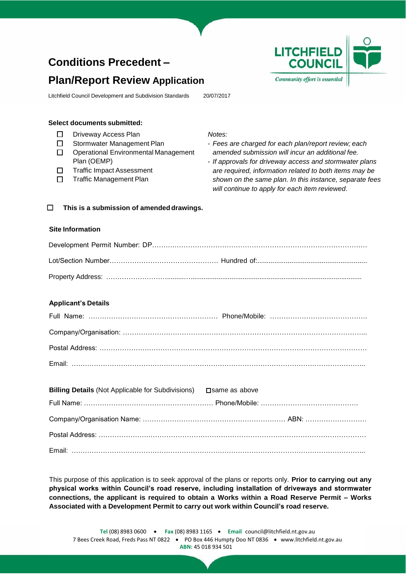# **LITCHFIELD Conditions Precedent – COUNCIL Plan/Report Review Application** Community effort is essential Litchfield Council Development and Subdivision Standards 20/07/2017**Select documents submitted:** П Driveway Access Plan *Notes:* Stormwater Management Plan  $\Box$ - *Fees are charged for each plan/report review; each*   $\Box$ Operational Environmental Management *amended submission will incur an additional fee.* Plan (OEMP) - *If approvals for driveway access and stormwater plans*   $\Box$ Traffic Impact Assessment *are required, information related to both items may be*   $\Box$ Traffic Management Plan *shown on the same plan. In this instance, separate fees will continue to apply for each item reviewed*.  $\Box$ **This is a submission of amendeddrawings. Site Information** Development Permit Number: DP……….……………………………………………………………………….… Lot/Section Number………………………………………… Hundred of:.......................................................... Property Address: ……………………….........…............................................................................................ **Applicant's Details** Full Name: ………………………………………………… Phone/Mobile: ……………………………………. Company/Organisation: ……………………………………………………………………………………………... Postal Address: ………………….…………………………………………………………………………………… Email: ………………………………………………………………………………………………………………….. **Billing Details (Not Applicable for Subdivisions) Same as above** Full Name: ………………………………………………… Phone/Mobile: ……………………………………. Company/Organisation Name: ……………………………………………………… ABN: ……………………… Postal Address: ………………….…………………………………………………………………………………… Email: …………………………………………………………………………………………………………………..

This purpose of this application is to seek approval of the plans or reports only. **Prior to carrying out any physical works within Council's road reserve, including installation of driveways and stormwater connections, the applicant is required to obtain a Works within a Road Reserve Permit – Works Associated with a Development Permit to carry out work within Council's road reserve.**